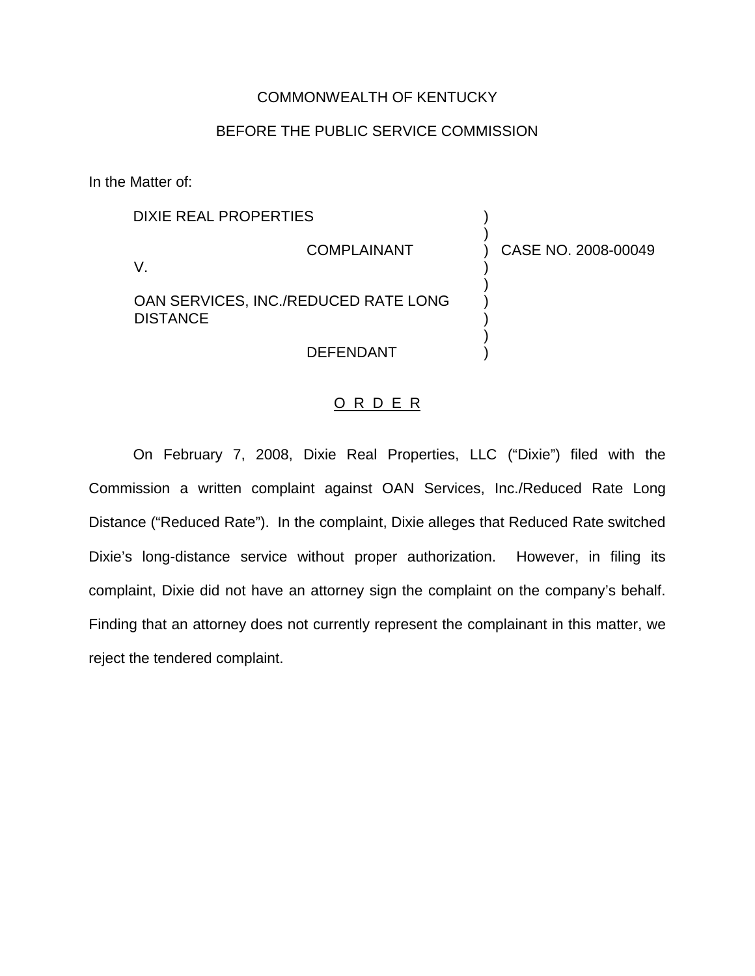## COMMONWEALTH OF KENTUCKY

## BEFORE THE PUBLIC SERVICE COMMISSION

In the Matter of:

| <b>DIXIE REAL PROPERTIES</b>                            |                    |                     |  |
|---------------------------------------------------------|--------------------|---------------------|--|
|                                                         | <b>COMPLAINANT</b> | CASE NO. 2008-00049 |  |
| OAN SERVICES, INC./REDUCED RATE LONG<br><b>DISTANCE</b> |                    |                     |  |
|                                                         | <b>DEFENDANT</b>   |                     |  |

## O R D E R

On February 7, 2008, Dixie Real Properties, LLC ("Dixie") filed with the Commission a written complaint against OAN Services, Inc./Reduced Rate Long Distance ("Reduced Rate"). In the complaint, Dixie alleges that Reduced Rate switched Dixie's long-distance service without proper authorization. However, in filing its complaint, Dixie did not have an attorney sign the complaint on the company's behalf. Finding that an attorney does not currently represent the complainant in this matter, we reject the tendered complaint.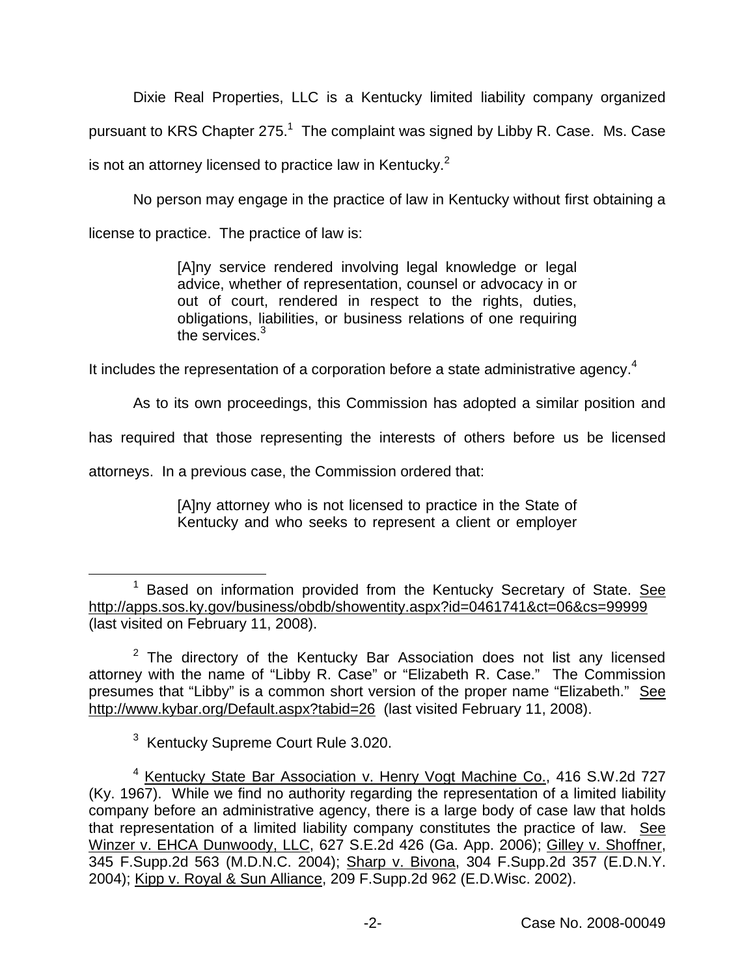Dixie Real Properties, LLC is a Kentucky limited liability company organized pursuant to KRS Chapter  $275<sup>1</sup>$  The complaint was signed by Libby R. Case. Ms. Case is not an attorney licensed to practice law in Kentucky. $2$ 

No person may engage in the practice of law in Kentucky without first obtaining a

license to practice. The practice of law is:

[A]ny service rendered involving legal knowledge or legal advice, whether of representation, counsel or advocacy in or out of court, rendered in respect to the rights, duties, obligations, liabilities, or business relations of one requiring the services.<sup>3</sup>

It includes the representation of a corporation before a state administrative agency.<sup>4</sup>

As to its own proceedings, this Commission has adopted a similar position and

has required that those representing the interests of others before us be licensed

attorneys. In a previous case, the Commission ordered that:

[A]ny attorney who is not licensed to practice in the State of Kentucky and who seeks to represent a client or employer

<sup>3</sup> Kentucky Supreme Court Rule 3.020.

 $1$  Based on information provided from the Kentucky Secretary of State. See <http://apps.sos.ky.gov/business/obdb/showentity.aspx?id=0461741&ct=06&cs=99999> (last visited on February 11, 2008).

 $2$  The directory of the Kentucky Bar Association does not list any licensed attorney with the name of "Libby R. Case" or "Elizabeth R. Case." The Commission presumes that "Libby" is a common short version of the proper name "Elizabeth." See <http://www.kybar.org/Default.aspx?tabid=26> (last visited February 11, 2008).

<sup>&</sup>lt;sup>4</sup> Kentucky State Bar Association v. Henry Vogt Machine Co., 416 S.W.2d 727 (Ky. 1967). While we find no authority regarding the representation of a limited liability company before an administrative agency, there is a large body of case law that holds that representation of a limited liability company constitutes the practice of law. See Winzer v. EHCA Dunwoody, LLC, 627 S.E.2d 426 (Ga. App. 2006); Gilley v. Shoffner, 345 F.Supp.2d 563 (M.D.N.C. 2004); Sharp v. Bivona, 304 F.Supp.2d 357 (E.D.N.Y. 2004); Kipp v. Royal & Sun Alliance, 209 F.Supp.2d 962 (E.D.Wisc. 2002).